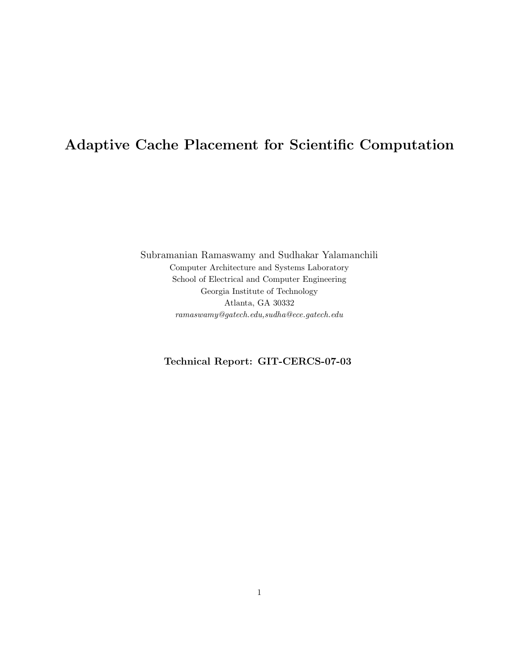# Adaptive Cache Placement for Scientific Computation

Subramanian Ramaswamy and Sudhakar Yalamanchili Computer Architecture and Systems Laboratory School of Electrical and Computer Engineering Georgia Institute of Technology Atlanta, GA 30332 ramaswamy@gatech.edu,sudha@ece.gatech.edu

# Technical Report: GIT-CERCS-07-03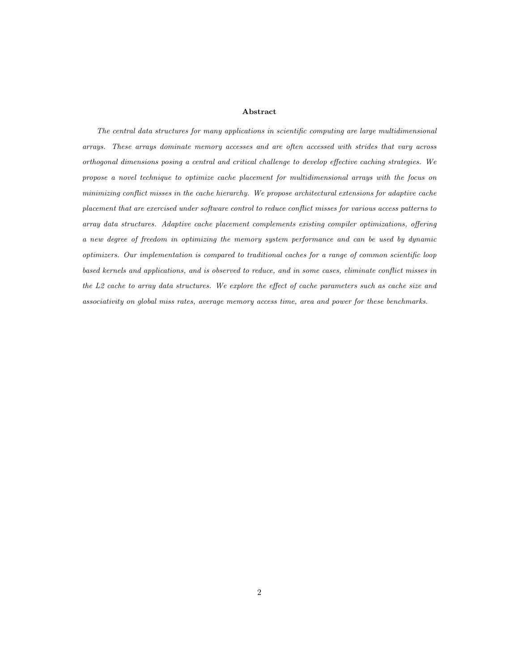#### Abstract

The central data structures for many applications in scientific computing are large multidimensional arrays. These arrays dominate memory accesses and are often accessed with strides that vary across orthogonal dimensions posing a central and critical challenge to develop effective caching strategies. We propose a novel technique to optimize cache placement for multidimensional arrays with the focus on minimizing conflict misses in the cache hierarchy. We propose architectural extensions for adaptive cache placement that are exercised under software control to reduce conflict misses for various access patterns to array data structures. Adaptive cache placement complements existing compiler optimizations, offering a new degree of freedom in optimizing the memory system performance and can be used by dynamic optimizers. Our implementation is compared to traditional caches for a range of common scientific loop based kernels and applications, and is observed to reduce, and in some cases, eliminate conflict misses in the L2 cache to array data structures. We explore the effect of cache parameters such as cache size and associativity on global miss rates, average memory access time, area and power for these benchmarks.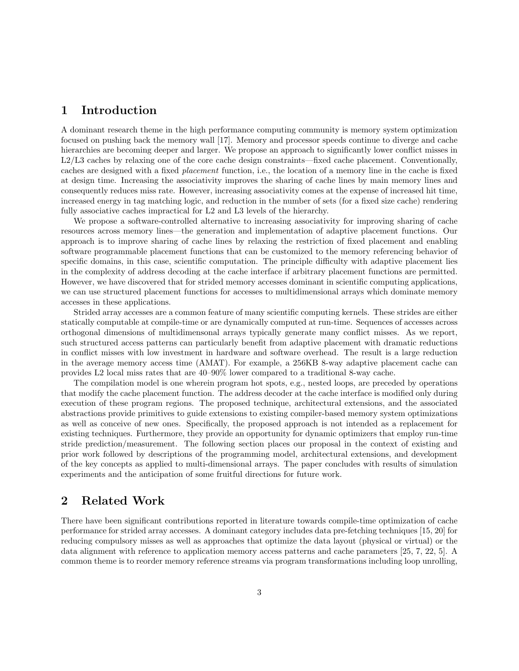## 1 Introduction

A dominant research theme in the high performance computing community is memory system optimization focused on pushing back the memory wall [17]. Memory and processor speeds continue to diverge and cache hierarchies are becoming deeper and larger. We propose an approach to significantly lower conflict misses in L2/L3 caches by relaxing one of the core cache design constraints—fixed cache placement. Conventionally, caches are designed with a fixed placement function, i.e., the location of a memory line in the cache is fixed at design time. Increasing the associativity improves the sharing of cache lines by main memory lines and consequently reduces miss rate. However, increasing associativity comes at the expense of increased hit time, increased energy in tag matching logic, and reduction in the number of sets (for a fixed size cache) rendering fully associative caches impractical for L2 and L3 levels of the hierarchy.

We propose a software-controlled alternative to increasing associativity for improving sharing of cache resources across memory lines—the generation and implementation of adaptive placement functions. Our approach is to improve sharing of cache lines by relaxing the restriction of fixed placement and enabling software programmable placement functions that can be customized to the memory referencing behavior of specific domains, in this case, scientific computation. The principle difficulty with adaptive placement lies in the complexity of address decoding at the cache interface if arbitrary placement functions are permitted. However, we have discovered that for strided memory accesses dominant in scientific computing applications, we can use structured placement functions for accesses to multidimensional arrays which dominate memory accesses in these applications.

Strided array accesses are a common feature of many scientific computing kernels. These strides are either statically computable at compile-time or are dynamically computed at run-time. Sequences of accesses across orthogonal dimensions of multidimensonal arrays typically generate many conflict misses. As we report, such structured access patterns can particularly benefit from adaptive placement with dramatic reductions in conflict misses with low investment in hardware and software overhead. The result is a large reduction in the average memory access time (AMAT). For example, a 256KB 8-way adaptive placement cache can provides L2 local miss rates that are 40–90% lower compared to a traditional 8-way cache.

The compilation model is one wherein program hot spots, e.g., nested loops, are preceded by operations that modify the cache placement function. The address decoder at the cache interface is modified only during execution of these program regions. The proposed technique, architectural extensions, and the associated abstractions provide primitives to guide extensions to existing compiler-based memory system optimizations as well as conceive of new ones. Specifically, the proposed approach is not intended as a replacement for existing techniques. Furthermore, they provide an opportunity for dynamic optimizers that employ run-time stride prediction/measurement. The following section places our proposal in the context of existing and prior work followed by descriptions of the programming model, architectural extensions, and development of the key concepts as applied to multi-dimensional arrays. The paper concludes with results of simulation experiments and the anticipation of some fruitful directions for future work.

## 2 Related Work

There have been significant contributions reported in literature towards compile-time optimization of cache performance for strided array accesses. A dominant category includes data pre-fetching techniques [15, 20] for reducing compulsory misses as well as approaches that optimize the data layout (physical or virtual) or the data alignment with reference to application memory access patterns and cache parameters [25, 7, 22, 5]. A common theme is to reorder memory reference streams via program transformations including loop unrolling,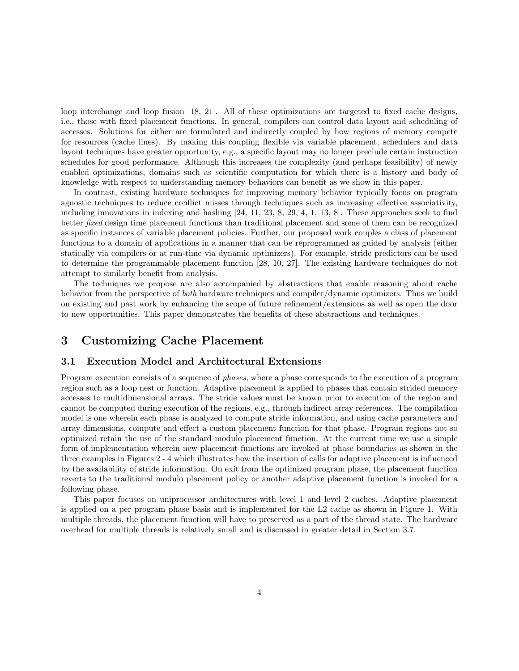loop interchange and loop fusion [18, 21]. All of these optimizations are targeted to fixed cache designs, i.e., those with fixed placement functions. In general, compilers can control data layout and scheduling of accesses. Solutions for either are formulated and indirectly coupled by how regions of memory compete for resources (cache lines). By making this coupling flexible via variable placement, schedulers and data layout techniques have greater opportunity, e.g., a specific layout may no longer preclude certain instruction schedules for good performance. Although this increases the complexity (and perhaps feasibility) of newly enabled optimizations, domains such as scientific computation for which there is a history and body of knowledge with respect to understanding memory behaviors can benefit as we show in this paper.

In contrast, existing hardware techniques for improving memory behavior typically focus on program agnostic techniques to reduce conflict misses through techniques such as increasing effective associativity, including innovations in indexing and hashing [24, 11, 23, 8, 29, 4, 1, 13, 8]. These approaches seek to find better fixed design time placement functions than traditional placement and some of them can be recognized as specific instances of variable placement policies. Further, our proposed work couples a class of placement functions to a domain of applications in a manner that can be reprogrammed as guided by analysis (either statically via compilers or at run-time via dynamic optimizers). For example, stride predictors can be used to determine the programmable placement function [28, 10, 27]. The existing hardware techniques do not attempt to similarly benefit from analysis.

The techniques we propose are also accompanied by abstractions that enable reasoning about cache behavior from the perspective of both hardware techniques and compiler/dynamic optimizers. Thus we build on existing and past work by enhancing the scope of future refinement/extensions as well as open the door to new opportunities. This paper demonstrates the benefits of these abstractions and techniques.

# 3 Customizing Cache Placement

#### 3.1 Execution Model and Architectural Extensions

Program execution consists of a sequence of *phases*, where a phase corresponds to the execution of a program region such as a loop nest or function. Adaptive placement is applied to phases that contain strided memory accesses to multidimensional arrays. The stride values must be known prior to execution of the region and cannot be computed during execution of the regions, e.g., through indirect array references. The compilation model is one wherein each phase is analyzed to compute stride information, and using cache parameters and array dimensions, compute and effect a custom placement function for that phase. Program regions not so optimized retain the use of the standard modulo placement function. At the current time we use a simple form of implementation wherein new placement functions are invoked at phase boundaries as shown in the three examples in Figures 2 - 4 which illustrates how the insertion of calls for adaptive placement is influenced by the availability of stride information. On exit from the optimized program phase, the placement function reverts to the traditional modulo placement policy or another adaptive placement function is invoked for a following phase.

This paper focuses on uniprocessor architectures with level 1 and level 2 caches. Adaptive placement is applied on a per program phase basis and is implemented for the L2 cache as shown in Figure 1. With multiple threads, the placement function will have to preserved as a part of the thread state. The hardware overhead for multiple threads is relatively small and is discussed in greater detail in Section 3.7.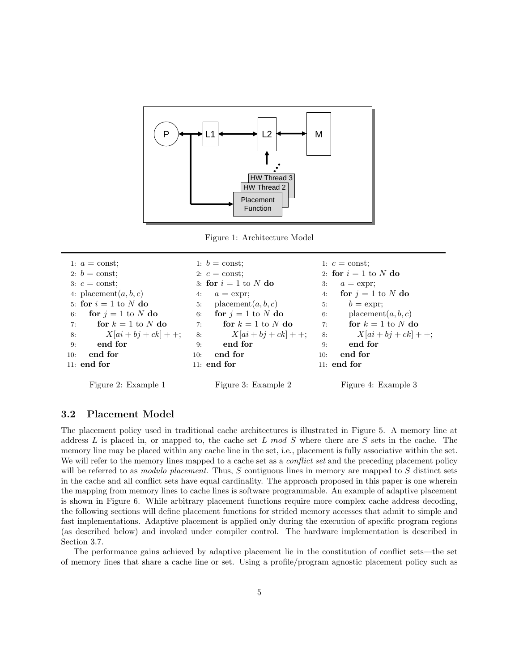

Figure 1: Architecture Model

```
1: a = \text{const};2: b = \text{const};
 3: c = \text{const};4: placement(a, b, c)5: for i = 1 to N do
6: for j = 1 to N do
 7: for k = 1 to N do
 8: X[ai + bj + ck] + +;9: end for
10: end for
11: end for
                                  1: b = \text{const};2: c = \text{const};
                                 3: for i = 1 to N do
                                 4: a = \text{expr};5: placement(a, b, c)6: for j = 1 to N do
                                 7: for k = 1 to N do
                                 8: X[ai + bj + ck] + +;9: end for
                                 10: end for
                                 11: end for
                                                                  1: c = \text{const};2: for i = 1 to N do
                                                                  3: a = \text{expr};
                                                                  4: for j = 1 to N do
                                                                  5: b = \text{expr};6: placement(a, b, c)7: for k = 1 to N do
                                                                  8: X[ai + bj + ck] + +;9: end for
                                                                 10: end for
                                                                 11: end for
```
Figure 2: Example 1

Figure 3: Example 2

Figure 4: Example 3

## 3.2 Placement Model

The placement policy used in traditional cache architectures is illustrated in Figure 5. A memory line at address  $L$  is placed in, or mapped to, the cache set  $L \mod S$  where there are  $S$  sets in the cache. The memory line may be placed within any cache line in the set, i.e., placement is fully associative within the set. We will refer to the memory lines mapped to a cache set as a *conflict set* and the preceding placement policy will be referred to as *modulo placement*. Thus,  $S$  contiguous lines in memory are mapped to  $S$  distinct sets in the cache and all conflict sets have equal cardinality. The approach proposed in this paper is one wherein the mapping from memory lines to cache lines is software programmable. An example of adaptive placement is shown in Figure 6. While arbitrary placement functions require more complex cache address decoding, the following sections will define placement functions for strided memory accesses that admit to simple and fast implementations. Adaptive placement is applied only during the execution of specific program regions (as described below) and invoked under compiler control. The hardware implementation is described in Section 3.7.

The performance gains achieved by adaptive placement lie in the constitution of conflict sets—the set of memory lines that share a cache line or set. Using a profile/program agnostic placement policy such as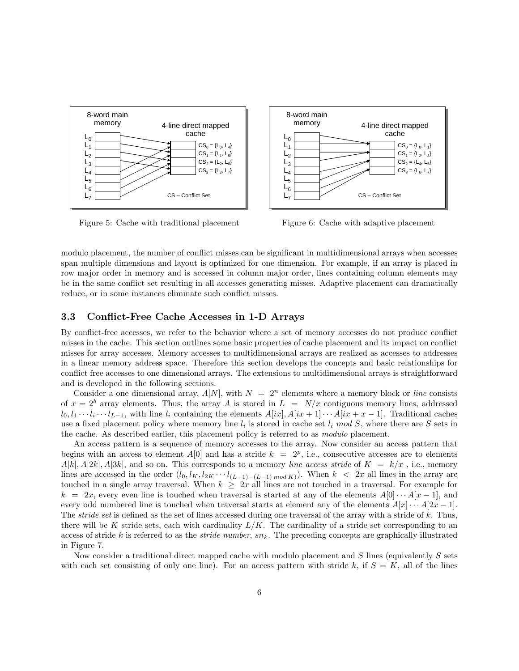

Figure 5: Cache with traditional placement



Figure 6: Cache with adaptive placement

modulo placement, the number of conflict misses can be significant in multidimensional arrays when accesses span multiple dimensions and layout is optimized for one dimension. For example, if an array is placed in row major order in memory and is accessed in column major order, lines containing column elements may be in the same conflict set resulting in all accesses generating misses. Adaptive placement can dramatically reduce, or in some instances eliminate such conflict misses.

#### 3.3 Conflict-Free Cache Accesses in 1-D Arrays

By conflict-free accesses, we refer to the behavior where a set of memory accesses do not produce conflict misses in the cache. This section outlines some basic properties of cache placement and its impact on conflict misses for array accesses. Memory accesses to multidimensional arrays are realized as accesses to addresses in a linear memory address space. Therefore this section develops the concepts and basic relationships for conflict free accesses to one dimensional arrays. The extensions to multidimensional arrays is straightforward and is developed in the following sections.

Consider a one dimensional array,  $A[N]$ , with  $N = 2^n$  elements where a memory block or *line* consists of  $x = 2^b$  array elements. Thus, the array A is stored in  $L = N/x$  contiguous memory lines, addressed  $l_0, l_1 \cdots l_i \cdots l_{L-1}$ , with line  $l_i$  containing the elements  $A[ix], A[ix+1] \cdots A[ix+x-1]$ . Traditional caches use a fixed placement policy where memory line  $l_i$  is stored in cache set  $l_i \mod S$ , where there are S sets in the cache. As described earlier, this placement policy is referred to as modulo placement.

An access pattern is a sequence of memory accesses to the array. Now consider an access pattern that begins with an access to element  $A[0]$  and has a stride  $k = 2^p$ , i.e., consecutive accesses are to elements  $A[k], A[2k], A[3k],$  and so on. This corresponds to a memory line access stride of  $K = k/x$ , i.e., memory lines are accessed in the order  $(l_0, l_K, l_{2K} \cdots l_{(L-1)-(L-1) \mod K})$ . When  $k < 2x$  all lines in the array are touched in a single array traversal. When  $k \geq 2x$  all lines are not touched in a traversal. For example for  $k = 2x$ , every even line is touched when traversal is started at any of the elements  $A[0] \cdots A[x-1]$ , and every odd numbered line is touched when traversal starts at element any of the elements  $A[x] \cdots A[2x-1]$ . The *stride set* is defined as the set of lines accessed during one traversal of the array with a stride of k. Thus, there will be K stride sets, each with cardinality  $L/K$ . The cardinality of a stride set corresponding to an access of stride k is referred to as the *stride number*,  $sn_k$ . The preceding concepts are graphically illustrated in Figure 7.

Now consider a traditional direct mapped cache with modulo placement and S lines (equivalently S sets with each set consisting of only one line). For an access pattern with stride k, if  $S = K$ , all of the lines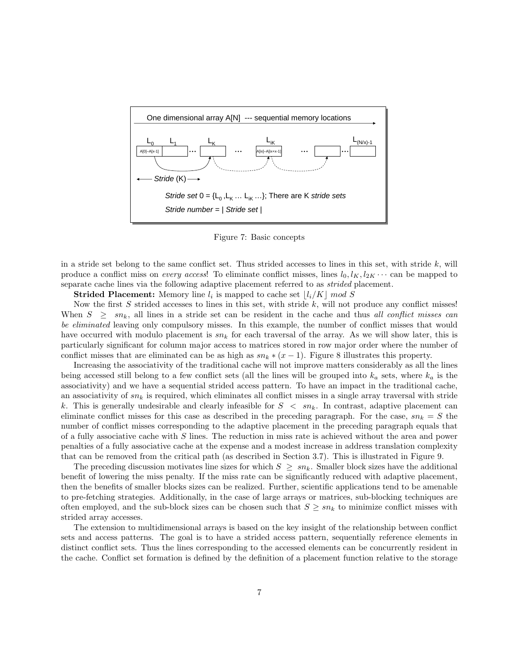

Figure 7: Basic concepts

in a stride set belong to the same conflict set. Thus strided accesses to lines in this set, with stride  $k$ , will produce a conflict miss on *every access*! To eliminate conflict misses, lines  $l_0, l_K, l_{2K} \cdots$  can be mapped to separate cache lines via the following adaptive placement referred to as *strided* placement.

**Strided Placement:** Memory line  $l_i$  is mapped to cache set  $\lfloor l_i/K \rfloor$  mod S

Now the first  $S$  strided accesses to lines in this set, with stride  $k$ , will not produce any conflict misses! When  $S \geq sn_k$ , all lines in a stride set can be resident in the cache and thus all conflict misses can be eliminated leaving only compulsory misses. In this example, the number of conflict misses that would have occurred with modulo placement is  $sn_k$  for each traversal of the array. As we will show later, this is particularly significant for column major access to matrices stored in row major order where the number of conflict misses that are eliminated can be as high as  $sn_k * (x - 1)$ . Figure 8 illustrates this property.

Increasing the associativity of the traditional cache will not improve matters considerably as all the lines being accessed still belong to a few conflict sets (all the lines will be grouped into  $k_a$  sets, where  $k_a$  is the associativity) and we have a sequential strided access pattern. To have an impact in the traditional cache, an associativity of  $sn_k$  is required, which eliminates all conflict misses in a single array traversal with stride k. This is generally undesirable and clearly infeasible for  $S < sn_k$ . In contrast, adaptive placement can eliminate conflict misses for this case as described in the preceding paragraph. For the case,  $sn_k = S$  the number of conflict misses corresponding to the adaptive placement in the preceding paragraph equals that of a fully associative cache with S lines. The reduction in miss rate is achieved without the area and power penalties of a fully associative cache at the expense and a modest increase in address translation complexity that can be removed from the critical path (as described in Section 3.7). This is illustrated in Figure 9.

The preceding discussion motivates line sizes for which  $S \geq sn_k$ . Smaller block sizes have the additional benefit of lowering the miss penalty. If the miss rate can be significantly reduced with adaptive placement, then the benefits of smaller blocks sizes can be realized. Further, scientific applications tend to be amenable to pre-fetching strategies. Additionally, in the case of large arrays or matrices, sub-blocking techniques are often employed, and the sub-block sizes can be chosen such that  $S \geq sn_k$  to minimize conflict misses with strided array accesses.

The extension to multidimensional arrays is based on the key insight of the relationship between conflict sets and access patterns. The goal is to have a strided access pattern, sequentially reference elements in distinct conflict sets. Thus the lines corresponding to the accessed elements can be concurrently resident in the cache. Conflict set formation is defined by the definition of a placement function relative to the storage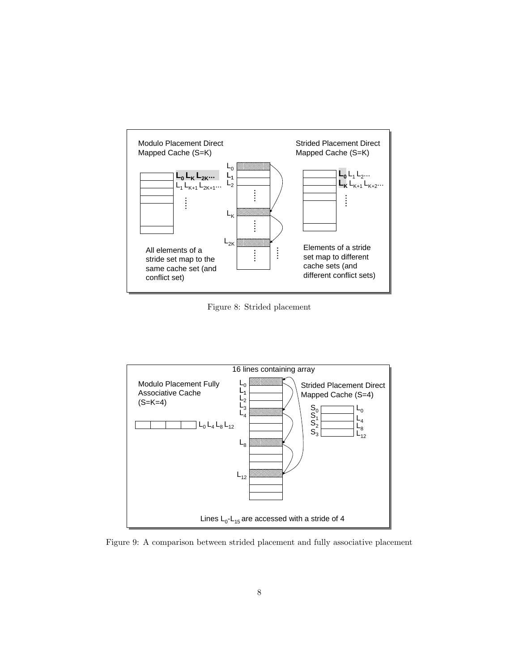

Figure 8: Strided placement



Figure 9: A comparison between strided placement and fully associative placement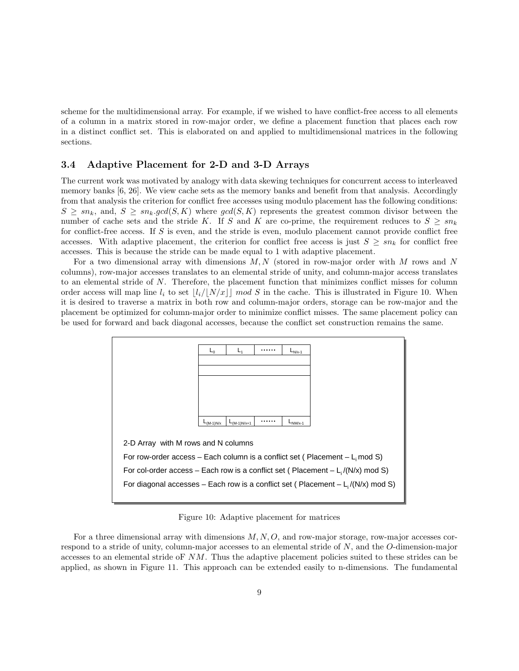scheme for the multidimensional array. For example, if we wished to have conflict-free access to all elements of a column in a matrix stored in row-major order, we define a placement function that places each row in a distinct conflict set. This is elaborated on and applied to multidimensional matrices in the following sections.

#### 3.4 Adaptive Placement for 2-D and 3-D Arrays

The current work was motivated by analogy with data skewing techniques for concurrent access to interleaved memory banks [6, 26]. We view cache sets as the memory banks and benefit from that analysis. Accordingly from that analysis the criterion for conflict free accesses using modulo placement has the following conditions:  $S \geq sn_k$ , and,  $S \geq sn_k.gcd(S, K)$  where  $gcd(S, K)$  represents the greatest common divisor between the number of cache sets and the stride K. If S and K are co-prime, the requirement reduces to  $S \geq sn_k$ for conflict-free access. If S is even, and the stride is even, modulo placement cannot provide conflict free accesses. With adaptive placement, the criterion for conflict free access is just  $S \geq sn_k$  for conflict free accesses. This is because the stride can be made equal to 1 with adaptive placement.

For a two dimensional array with dimensions  $M, N$  (stored in row-major order with M rows and N columns), row-major accesses translates to an elemental stride of unity, and column-major access translates to an elemental stride of N. Therefore, the placement function that minimizes conflict misses for column order access will map line  $l_i$  to set  $|l_i/|N/x| \mod S$  in the cache. This is illustrated in Figure 10. When it is desired to traverse a matrix in both row and column-major orders, storage can be row-major and the placement be optimized for column-major order to minimize conflict misses. The same placement policy can be used for forward and back diagonal accesses, because the conflict set construction remains the same.



Figure 10: Adaptive placement for matrices

For a three dimensional array with dimensions  $M, N, O$ , and row-major storage, row-major accesses correspond to a stride of unity, column-major accesses to an elemental stride of N, and the O-dimension-major accesses to an elemental stride oF NM. Thus the adaptive placement policies suited to these strides can be applied, as shown in Figure 11. This approach can be extended easily to n-dimensions. The fundamental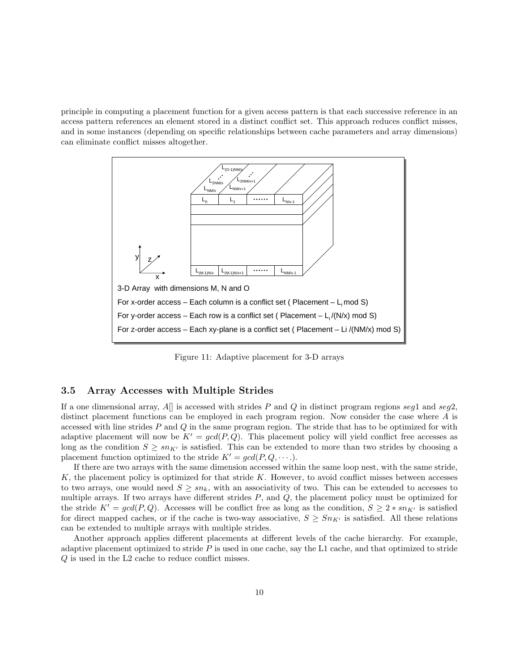principle in computing a placement function for a given access pattern is that each successive reference in an access pattern references an element stored in a distinct conflict set. This approach reduces conflict misses, and in some instances (depending on specific relationships between cache parameters and array dimensions) can eliminate conflict misses altogether.



Figure 11: Adaptive placement for 3-D arrays

## 3.5 Array Accesses with Multiple Strides

If a one dimensional array, A[] is accessed with strides P and Q in distinct program regions seq1 and seq2. distinct placement functions can be employed in each program region. Now consider the case where A is accessed with line strides  $P$  and  $Q$  in the same program region. The stride that has to be optimized for with adaptive placement will now be  $K' = \gcd(P, Q)$ . This placement policy will yield conflict free accesses as long as the condition  $S \geq sn_{K'}$  is satisfied. This can be extended to more than two strides by choosing a placement function optimized to the stride  $K' = \gcd(P, Q, \dots)$ .

If there are two arrays with the same dimension accessed within the same loop nest, with the same stride,  $K$ , the placement policy is optimized for that stride  $K$ . However, to avoid conflict misses between accesses to two arrays, one would need  $S \geq sn_k$ , with an associativity of two. This can be extended to accesses to multiple arrays. If two arrays have different strides  $P$ , and  $Q$ , the placement policy must be optimized for the stride  $K' = \gcd(P, Q)$ . Accesses will be conflict free as long as the condition,  $S \geq 2 * sn_{K'}$  is satisfied for direct mapped caches, or if the cache is two-way associative,  $S \geq Sn_{K'}$  is satisfied. All these relations can be extended to multiple arrays with multiple strides.

Another approach applies different placements at different levels of the cache hierarchy. For example, adaptive placement optimized to stride  $P$  is used in one cache, say the L1 cache, and that optimized to stride Q is used in the L2 cache to reduce conflict misses.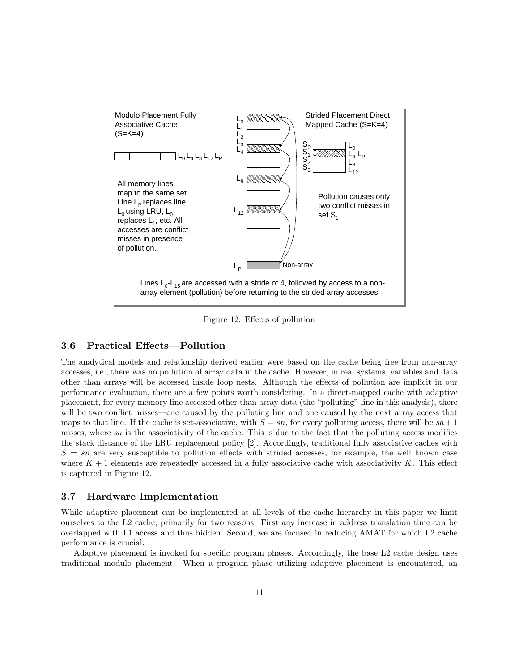

Figure 12: Effects of pollution

#### 3.6 Practical Effects—Pollution

The analytical models and relationship derived earlier were based on the cache being free from non-array accesses, i.e., there was no pollution of array data in the cache. However, in real systems, variables and data other than arrays will be accessed inside loop nests. Although the effects of pollution are implicit in our performance evaluation, there are a few points worth considering. In a direct-mapped cache with adaptive placement, for every memory line accessed other than array data (the "polluting" line in this analysis), there will be two conflict misses—one caused by the polluting line and one caused by the next array access that maps to that line. If the cache is set-associative, with  $S = sn$ , for every polluting access, there will be  $sa + 1$ misses, where sa is the associativity of the cache. This is due to the fact that the polluting access modifies the stack distance of the LRU replacement policy [2]. Accordingly, traditional fully associative caches with  $S = sn$  are very susceptible to pollution effects with strided accesses, for example, the well known case where  $K + 1$  elements are repeatedly accessed in a fully associative cache with associativity K. This effect is captured in Figure 12.

#### 3.7 Hardware Implementation

While adaptive placement can be implemented at all levels of the cache hierarchy in this paper we limit ourselves to the L2 cache, primarily for two reasons. First any increase in address translation time can be overlapped with L1 access and thus hidden. Second, we are focused in reducing AMAT for which L2 cache performance is crucial.

Adaptive placement is invoked for specific program phases. Accordingly, the base L2 cache design uses traditional modulo placement. When a program phase utilizing adaptive placement is encountered, an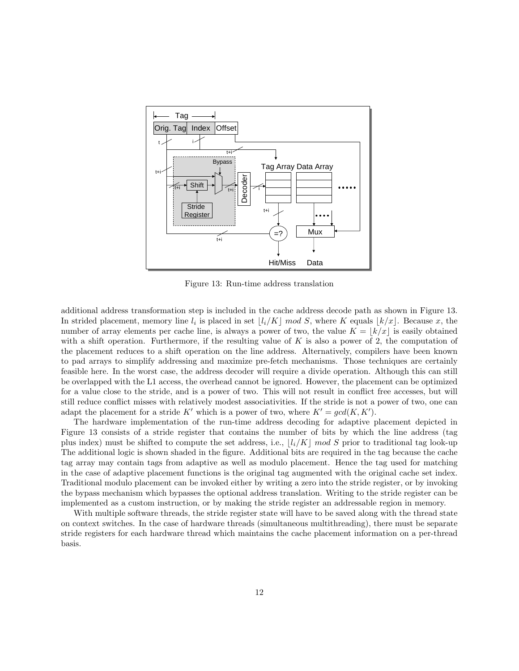

Figure 13: Run-time address translation

additional address transformation step is included in the cache address decode path as shown in Figure 13. In strided placement, memory line  $l_i$  is placed in set  $\lfloor l_i/K \rfloor$  mod S, where K equals  $\lfloor k/x \rfloor$ . Because x, the number of array elements per cache line, is always a power of two, the value  $K = |k/x|$  is easily obtained with a shift operation. Furthermore, if the resulting value of K is also a power of 2, the computation of the placement reduces to a shift operation on the line address. Alternatively, compilers have been known to pad arrays to simplify addressing and maximize pre-fetch mechanisms. Those techniques are certainly feasible here. In the worst case, the address decoder will require a divide operation. Although this can still be overlapped with the L1 access, the overhead cannot be ignored. However, the placement can be optimized for a value close to the stride, and is a power of two. This will not result in conflict free accesses, but will still reduce conflict misses with relatively modest associativities. If the stride is not a power of two, one can adapt the placement for a stride K' which is a power of two, where  $K' = \gcd(K, K')$ .

The hardware implementation of the run-time address decoding for adaptive placement depicted in Figure 13 consists of a stride register that contains the number of bits by which the line address (tag plus index) must be shifted to compute the set address, i.e.,  $\lfloor l_i/K \rfloor$  mod S prior to traditional tag look-up The additional logic is shown shaded in the figure. Additional bits are required in the tag because the cache tag array may contain tags from adaptive as well as modulo placement. Hence the tag used for matching in the case of adaptive placement functions is the original tag augmented with the original cache set index. Traditional modulo placement can be invoked either by writing a zero into the stride register, or by invoking the bypass mechanism which bypasses the optional address translation. Writing to the stride register can be implemented as a custom instruction, or by making the stride register an addressable region in memory.

With multiple software threads, the stride register state will have to be saved along with the thread state on context switches. In the case of hardware threads (simultaneous multithreading), there must be separate stride registers for each hardware thread which maintains the cache placement information on a per-thread basis.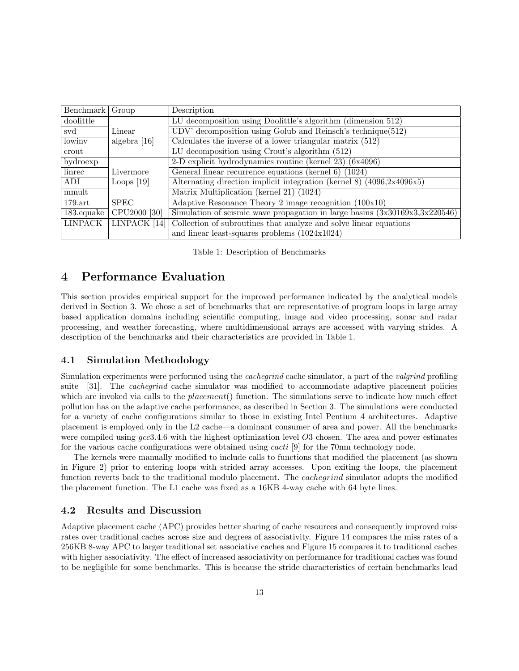| <b>Benchmark</b>             | Group                    | Description                                                                         |
|------------------------------|--------------------------|-------------------------------------------------------------------------------------|
| doolittle                    |                          | LU decomposition using Doolittle's algorithm (dimension 512)                        |
| $\operatorname{svd}$         | Linear                   | UDV' decomposition using Golub and Reinsch's technique $(512)$                      |
| lowiny                       | algebra $[16]$           | Calculates the inverse of a lower triangular matrix $(512)$                         |
| crout                        |                          | $\overline{\text{LU}}$ decomposition using Crout's algorithm (512)                  |
| $\overline{\text{hydroexp}}$ |                          | 2-D explicit hydrodynamics routine (kernel 23) (6x4096)                             |
| linrec                       | Livermore                | General linear recurrence equations (kernel 6) (1024)                               |
| ADI                          | Loops $[19]$             | Alternating direction implicit integration (kernel $\overline{8}$ ) (4096,2x4096x5) |
| mmult                        |                          | Matrix Multiplication (kernel 21) (1024)                                            |
| $179.\mathrm{art}$           | <b>SPEC</b>              | Adaptive Resonance Theory 2 image recognition $(100x10)$                            |
| $183$ .equake                | CPU <sub>2000</sub> [30] | Simulation of seismic wave propagation in large basins $(3x30169x3,3x220546)$       |
| <b>LINPACK</b>               | LINPACK <sup>[14]</sup>  | Collection of subroutines that analyze and solve linear equations                   |
|                              |                          | and linear least-squares problems $(1024x1024)$                                     |

Table 1: Description of Benchmarks

# 4 Performance Evaluation

This section provides empirical support for the improved performance indicated by the analytical models derived in Section 3. We chose a set of benchmarks that are representative of program loops in large array based application domains including scientific computing, image and video processing, sonar and radar processing, and weather forecasting, where multidimensional arrays are accessed with varying strides. A description of the benchmarks and their characteristics are provided in Table 1.

### 4.1 Simulation Methodology

Simulation experiments were performed using the *cachegrind* cache simulator, a part of the *valgrind* profiling suite [31]. The *cachegrind* cache simulator was modified to accommodate adaptive placement policies which are invoked via calls to the *placement*() function. The simulations serve to indicate how much effect pollution has on the adaptive cache performance, as described in Section 3. The simulations were conducted for a variety of cache configurations similar to those in existing Intel Pentium 4 architectures. Adaptive placement is employed only in the L2 cache—a dominant consumer of area and power. All the benchmarks were compiled using  $\text{gcc3.4.6}$  with the highest optimization level O3 chosen. The area and power estimates for the various cache configurations were obtained using cacti [9] for the 70nm technology node.

The kernels were manually modified to include calls to functions that modified the placement (as shown in Figure 2) prior to entering loops with strided array accesses. Upon exiting the loops, the placement function reverts back to the traditional modulo placement. The cachegrind simulator adopts the modified the placement function. The L1 cache was fixed as a 16KB 4-way cache with 64 byte lines.

### 4.2 Results and Discussion

Adaptive placement cache (APC) provides better sharing of cache resources and consequently improved miss rates over traditional caches across size and degrees of associativity. Figure 14 compares the miss rates of a 256KB 8-way APC to larger traditional set associative caches and Figure 15 compares it to traditional caches with higher associativity. The effect of increased associativity on performance for traditional caches was found to be negligible for some benchmarks. This is because the stride characteristics of certain benchmarks lead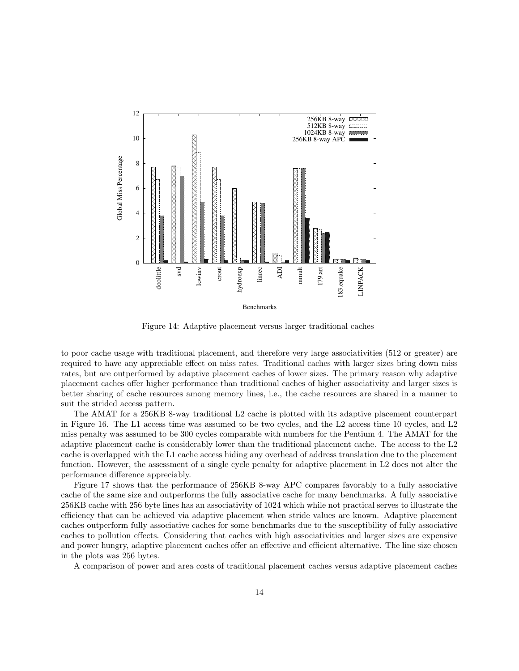

Figure 14: Adaptive placement versus larger traditional caches

to poor cache usage with traditional placement, and therefore very large associativities (512 or greater) are required to have any appreciable effect on miss rates. Traditional caches with larger sizes bring down miss rates, but are outperformed by adaptive placement caches of lower sizes. The primary reason why adaptive placement caches offer higher performance than traditional caches of higher associativity and larger sizes is better sharing of cache resources among memory lines, i.e., the cache resources are shared in a manner to suit the strided access pattern.

The AMAT for a 256KB 8-way traditional L2 cache is plotted with its adaptive placement counterpart in Figure 16. The L1 access time was assumed to be two cycles, and the L2 access time 10 cycles, and L2 miss penalty was assumed to be 300 cycles comparable with numbers for the Pentium 4. The AMAT for the adaptive placement cache is considerably lower than the traditional placement cache. The access to the L2 cache is overlapped with the L1 cache access hiding any overhead of address translation due to the placement function. However, the assessment of a single cycle penalty for adaptive placement in L2 does not alter the performance difference appreciably.

Figure 17 shows that the performance of 256KB 8-way APC compares favorably to a fully associative cache of the same size and outperforms the fully associative cache for many benchmarks. A fully associative 256KB cache with 256 byte lines has an associativity of 1024 which while not practical serves to illustrate the efficiency that can be achieved via adaptive placement when stride values are known. Adaptive placement caches outperform fully associative caches for some benchmarks due to the susceptibility of fully associative caches to pollution effects. Considering that caches with high associativities and larger sizes are expensive and power hungry, adaptive placement caches offer an effective and efficient alternative. The line size chosen in the plots was 256 bytes.

A comparison of power and area costs of traditional placement caches versus adaptive placement caches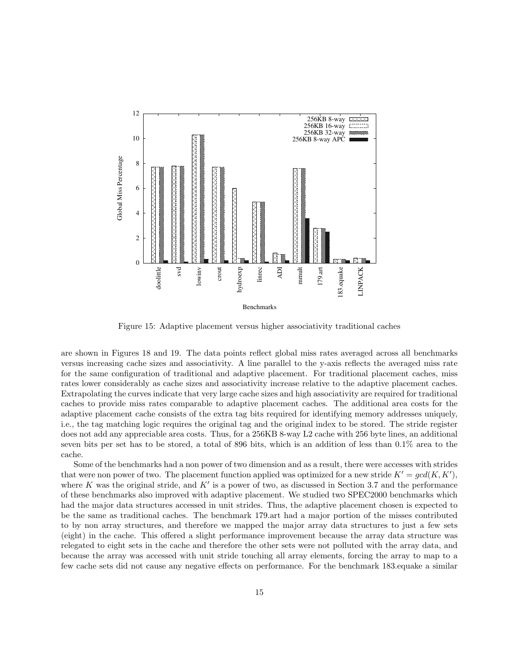

Figure 15: Adaptive placement versus higher associativity traditional caches

are shown in Figures 18 and 19. The data points reflect global miss rates averaged across all benchmarks versus increasing cache sizes and associativity. A line parallel to the y-axis reflects the averaged miss rate for the same configuration of traditional and adaptive placement. For traditional placement caches, miss rates lower considerably as cache sizes and associativity increase relative to the adaptive placement caches. Extrapolating the curves indicate that very large cache sizes and high associativity are required for traditional caches to provide miss rates comparable to adaptive placement caches. The additional area costs for the adaptive placement cache consists of the extra tag bits required for identifying memory addresses uniquely, i.e., the tag matching logic requires the original tag and the original index to be stored. The stride register does not add any appreciable area costs. Thus, for a 256KB 8-way L2 cache with 256 byte lines, an additional seven bits per set has to be stored, a total of 896 bits, which is an addition of less than 0.1% area to the cache.

Some of the benchmarks had a non power of two dimension and as a result, there were accesses with strides that were non power of two. The placement function applied was optimized for a new stride  $K' = \gcd(K, K'),$ where K was the original stride, and  $K'$  is a power of two, as discussed in Section 3.7 and the performance of these benchmarks also improved with adaptive placement. We studied two SPEC2000 benchmarks which had the major data structures accessed in unit strides. Thus, the adaptive placement chosen is expected to be the same as traditional caches. The benchmark 179.art had a major portion of the misses contributed to by non array structures, and therefore we mapped the major array data structures to just a few sets (eight) in the cache. This offered a slight performance improvement because the array data structure was relegated to eight sets in the cache and therefore the other sets were not polluted with the array data, and because the array was accessed with unit stride touching all array elements, forcing the array to map to a few cache sets did not cause any negative effects on performance. For the benchmark 183.equake a similar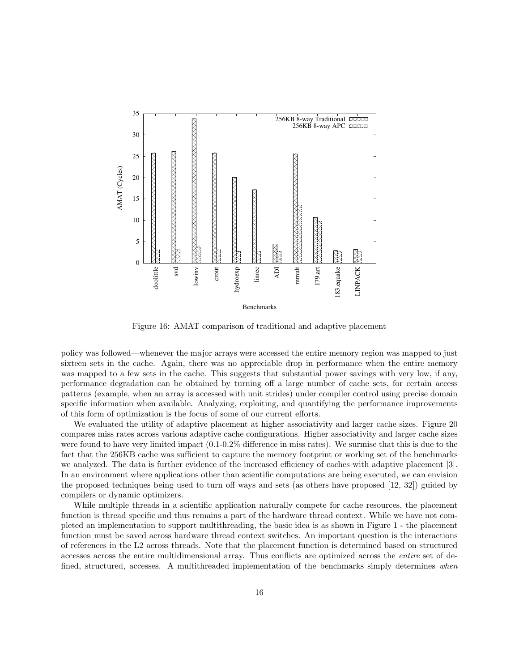

Figure 16: AMAT comparison of traditional and adaptive placement

policy was followed—whenever the major arrays were accessed the entire memory region was mapped to just sixteen sets in the cache. Again, there was no appreciable drop in performance when the entire memory was mapped to a few sets in the cache. This suggests that substantial power savings with very low, if any, performance degradation can be obtained by turning off a large number of cache sets, for certain access patterns (example, when an array is accessed with unit strides) under compiler control using precise domain specific information when available. Analyzing, exploiting, and quantifying the performance improvements of this form of optimization is the focus of some of our current efforts.

We evaluated the utility of adaptive placement at higher associativity and larger cache sizes. Figure 20 compares miss rates across various adaptive cache configurations. Higher associativity and larger cache sizes were found to have very limited impact (0.1-0.2% difference in miss rates). We surmise that this is due to the fact that the 256KB cache was sufficient to capture the memory footprint or working set of the benchmarks we analyzed. The data is further evidence of the increased efficiency of caches with adaptive placement [3]. In an environment where applications other than scientific computations are being executed, we can envision the proposed techniques being used to turn off ways and sets (as others have proposed [12, 32]) guided by compilers or dynamic optimizers.

While multiple threads in a scientific application naturally compete for cache resources, the placement function is thread specific and thus remains a part of the hardware thread context. While we have not completed an implementation to support multithreading, the basic idea is as shown in Figure 1 - the placement function must be saved across hardware thread context switches. An important question is the interactions of references in the L2 across threads. Note that the placement function is determined based on structured accesses across the entire multidimensional array. Thus conflicts are optimized across the entire set of defined, structured, accesses. A multithreaded implementation of the benchmarks simply determines when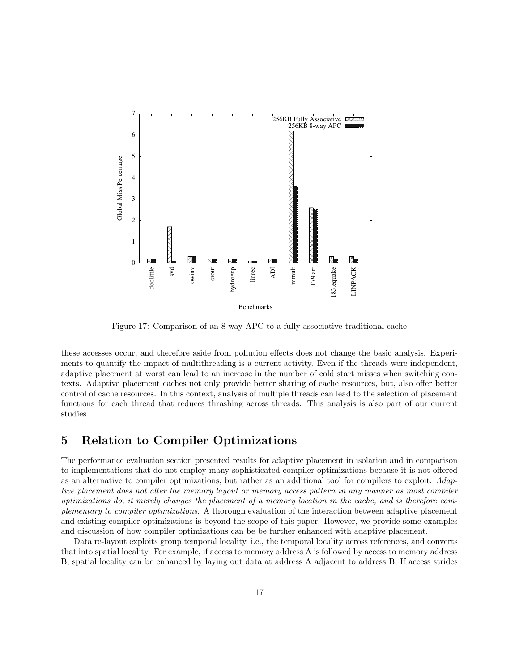

Figure 17: Comparison of an 8-way APC to a fully associative traditional cache

these accesses occur, and therefore aside from pollution effects does not change the basic analysis. Experiments to quantify the impact of multithreading is a current activity. Even if the threads were independent, adaptive placement at worst can lead to an increase in the number of cold start misses when switching contexts. Adaptive placement caches not only provide better sharing of cache resources, but, also offer better control of cache resources. In this context, analysis of multiple threads can lead to the selection of placement functions for each thread that reduces thrashing across threads. This analysis is also part of our current studies.

## 5 Relation to Compiler Optimizations

The performance evaluation section presented results for adaptive placement in isolation and in comparison to implementations that do not employ many sophisticated compiler optimizations because it is not offered as an alternative to compiler optimizations, but rather as an additional tool for compilers to exploit. Adaptive placement does not alter the memory layout or memory access pattern in any manner as most compiler optimizations do, it merely changes the placement of a memory location in the cache, and is therefore complementary to compiler optimizations. A thorough evaluation of the interaction between adaptive placement and existing compiler optimizations is beyond the scope of this paper. However, we provide some examples and discussion of how compiler optimizations can be be further enhanced with adaptive placement.

Data re-layout exploits group temporal locality, i.e., the temporal locality across references, and converts that into spatial locality. For example, if access to memory address A is followed by access to memory address B, spatial locality can be enhanced by laying out data at address A adjacent to address B. If access strides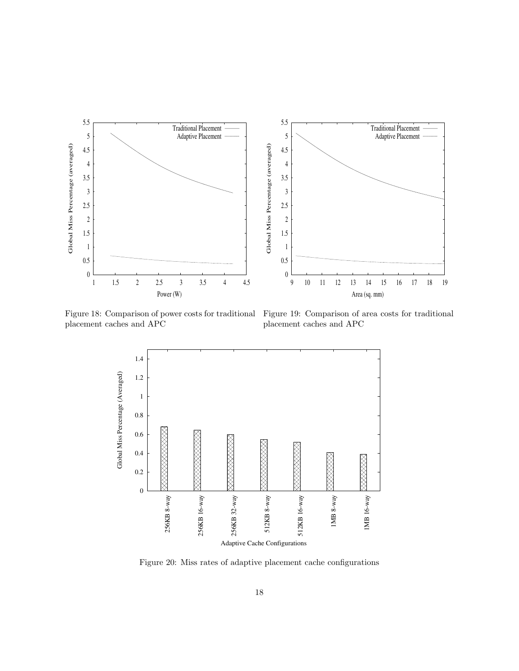

Figure 18: Comparison of power costs for traditional Figure 19: Comparison of area costs for traditional placement caches and APC

placement caches and APC



Figure 20: Miss rates of adaptive placement cache configurations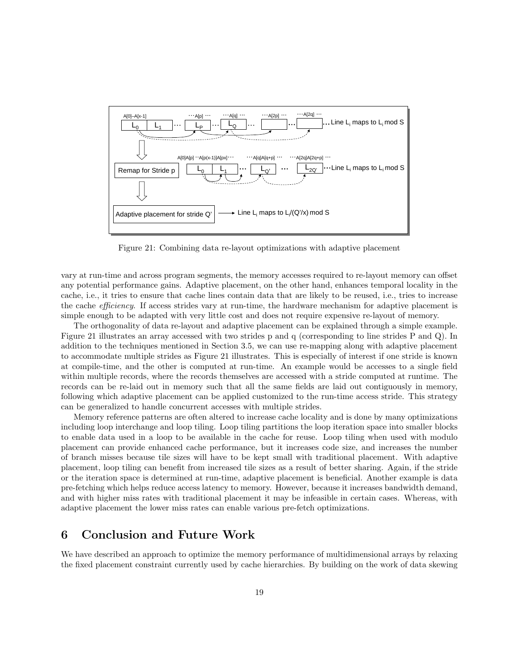

Figure 21: Combining data re-layout optimizations with adaptive placement

vary at run-time and across program segments, the memory accesses required to re-layout memory can offset any potential performance gains. Adaptive placement, on the other hand, enhances temporal locality in the cache, i.e., it tries to ensure that cache lines contain data that are likely to be reused, i.e., tries to increase the cache efficiency. If access strides vary at run-time, the hardware mechanism for adaptive placement is simple enough to be adapted with very little cost and does not require expensive re-layout of memory.

The orthogonality of data re-layout and adaptive placement can be explained through a simple example. Figure 21 illustrates an array accessed with two strides p and q (corresponding to line strides P and Q). In addition to the techniques mentioned in Section 3.5, we can use re-mapping along with adaptive placement to accommodate multiple strides as Figure 21 illustrates. This is especially of interest if one stride is known at compile-time, and the other is computed at run-time. An example would be accesses to a single field within multiple records, where the records themselves are accessed with a stride computed at runtime. The records can be re-laid out in memory such that all the same fields are laid out contiguously in memory, following which adaptive placement can be applied customized to the run-time access stride. This strategy can be generalized to handle concurrent accesses with multiple strides.

Memory reference patterns are often altered to increase cache locality and is done by many optimizations including loop interchange and loop tiling. Loop tiling partitions the loop iteration space into smaller blocks to enable data used in a loop to be available in the cache for reuse. Loop tiling when used with modulo placement can provide enhanced cache performance, but it increases code size, and increases the number of branch misses because tile sizes will have to be kept small with traditional placement. With adaptive placement, loop tiling can benefit from increased tile sizes as a result of better sharing. Again, if the stride or the iteration space is determined at run-time, adaptive placement is beneficial. Another example is data pre-fetching which helps reduce access latency to memory. However, because it increases bandwidth demand, and with higher miss rates with traditional placement it may be infeasible in certain cases. Whereas, with adaptive placement the lower miss rates can enable various pre-fetch optimizations.

## 6 Conclusion and Future Work

We have described an approach to optimize the memory performance of multidimensional arrays by relaxing the fixed placement constraint currently used by cache hierarchies. By building on the work of data skewing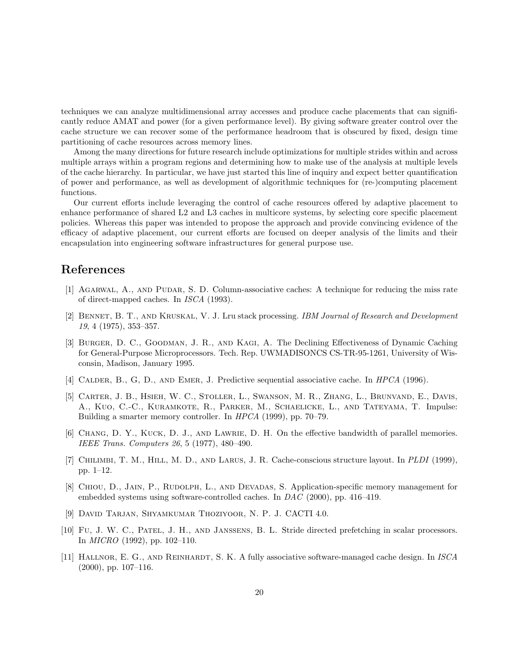techniques we can analyze multidimensional array accesses and produce cache placements that can significantly reduce AMAT and power (for a given performance level). By giving software greater control over the cache structure we can recover some of the performance headroom that is obscured by fixed, design time partitioning of cache resources across memory lines.

Among the many directions for future research include optimizations for multiple strides within and across multiple arrays within a program regions and determining how to make use of the analysis at multiple levels of the cache hierarchy. In particular, we have just started this line of inquiry and expect better quantification of power and performance, as well as development of algorithmic techniques for (re-)computing placement functions.

Our current efforts include leveraging the control of cache resources offered by adaptive placement to enhance performance of shared L2 and L3 caches in multicore systems, by selecting core specific placement policies. Whereas this paper was intended to propose the approach and provide convincing evidence of the efficacy of adaptive placement, our current efforts are focused on deeper analysis of the limits and their encapsulation into engineering software infrastructures for general purpose use.

## References

- [1] Agarwal, A., and Pudar, S. D. Column-associative caches: A technique for reducing the miss rate of direct-mapped caches. In ISCA (1993).
- [2] BENNET, B. T., AND KRUSKAL, V. J. Lru stack processing. IBM Journal of Research and Development 19, 4 (1975), 353–357.
- [3] BURGER, D. C., GOODMAN, J. R., AND KAGI, A. The Declining Effectiveness of Dynamic Caching for General-Purpose Microprocessors. Tech. Rep. UWMADISONCS CS-TR-95-1261, University of Wisconsin, Madison, January 1995.
- [4] CALDER, B., G, D., AND EMER, J. Predictive sequential associative cache. In HPCA (1996).
- [5] Carter, J. B., Hsieh, W. C., Stoller, L., Swanson, M. R., Zhang, L., Brunvand, E., Davis, A., Kuo, C.-C., Kuramkote, R., Parker, M., Schaelicke, L., and Tateyama, T. Impulse: Building a smarter memory controller. In HPCA (1999), pp. 70–79.
- [6] Chang, D. Y., Kuck, D. J., and Lawrie, D. H. On the effective bandwidth of parallel memories. IEEE Trans. Computers 26, 5 (1977), 480–490.
- [7] CHILIMBI, T. M., HILL, M. D., AND LARUS, J. R. Cache-conscious structure layout. In PLDI (1999), pp. 1–12.
- [8] Chiou, D., Jain, P., Rudolph, L., and Devadas, S. Application-specific memory management for embedded systems using software-controlled caches. In DAC (2000), pp. 416–419.
- [9] David Tarjan, Shyamkumar Thoziyoor, N. P. J. CACTI 4.0.
- [10] Fu, J. W. C., Patel, J. H., and Janssens, B. L. Stride directed prefetching in scalar processors. In MICRO (1992), pp. 102–110.
- [11] HALLNOR, E. G., AND REINHARDT, S. K. A fully associative software-managed cache design. In ISCA (2000), pp. 107–116.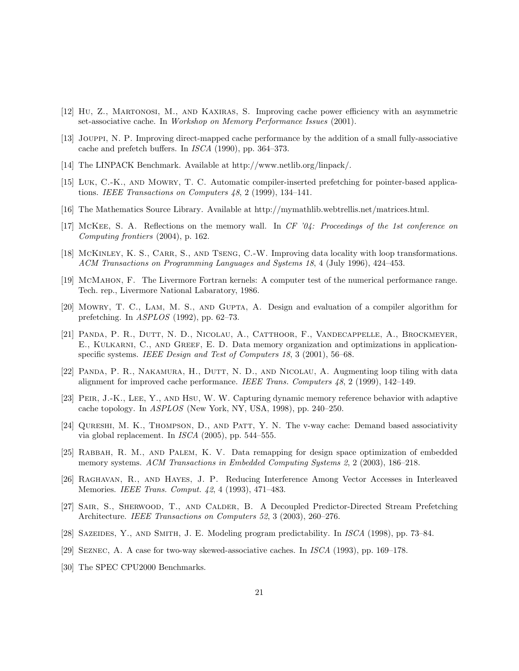- [12] Hu, Z., Martonosi, M., and Kaxiras, S. Improving cache power efficiency with an asymmetric set-associative cache. In Workshop on Memory Performance Issues (2001).
- [13] Jouppi, N. P. Improving direct-mapped cache performance by the addition of a small fully-associative cache and prefetch buffers. In ISCA (1990), pp. 364–373.
- [14] The LINPACK Benchmark. Available at http://www.netlib.org/linpack/.
- [15] Luk, C.-K., and Mowry, T. C. Automatic compiler-inserted prefetching for pointer-based applications. IEEE Transactions on Computers 48, 2 (1999), 134–141.
- [16] The Mathematics Source Library. Available at http://mymathlib.webtrellis.net/matrices.html.
- [17] McKee, S. A. Reflections on the memory wall. In CF '04: Proceedings of the 1st conference on Computing frontiers (2004), p. 162.
- [18] McKINLEY, K. S., CARR, S., AND TSENG, C.-W. Improving data locality with loop transformations. ACM Transactions on Programming Languages and Systems 18, 4 (July 1996), 424–453.
- [19] McMahon, F. The Livermore Fortran kernels: A computer test of the numerical performance range. Tech. rep., Livermore National Labaratory, 1986.
- [20] MOWRY, T. C., LAM, M. S., AND GUPTA, A. Design and evaluation of a compiler algorithm for prefetching. In ASPLOS (1992), pp. 62–73.
- [21] Panda, P. R., Dutt, N. D., Nicolau, A., Catthoor, F., Vandecappelle, A., Brockmeyer, E., Kulkarni, C., and Greef, E. D. Data memory organization and optimizations in applicationspecific systems. IEEE Design and Test of Computers 18, 3 (2001), 56-68.
- [22] PANDA, P. R., NAKAMURA, H., DUTT, N. D., AND NICOLAU, A. Augmenting loop tiling with data alignment for improved cache performance. IEEE Trans. Computers 48, 2 (1999), 142–149.
- [23] Peir, J.-K., Lee, Y., and Hsu, W. W. Capturing dynamic memory reference behavior with adaptive cache topology. In ASPLOS (New York, NY, USA, 1998), pp. 240–250.
- [24] QURESHI, M. K., THOMPSON, D., AND PATT, Y. N. The v-way cache: Demand based associativity via global replacement. In ISCA (2005), pp. 544–555.
- [25] Rabbah, R. M., and Palem, K. V. Data remapping for design space optimization of embedded memory systems. ACM Transactions in Embedded Computing Systems 2, 2 (2003), 186–218.
- [26] Raghavan, R., and Hayes, J. P. Reducing Interference Among Vector Accesses in Interleaved Memories. IEEE Trans. Comput. 42, 4 (1993), 471–483.
- [27] Sair, S., Sherwood, T., and Calder, B. A Decoupled Predictor-Directed Stream Prefetching Architecture. IEEE Transactions on Computers 52, 3 (2003), 260–276.
- [28] Sazeides, Y., and Smith, J. E. Modeling program predictability. In ISCA (1998), pp. 73–84.
- [29] Seznec, A. A case for two-way skewed-associative caches. In ISCA (1993), pp. 169–178.
- [30] The SPEC CPU2000 Benchmarks.